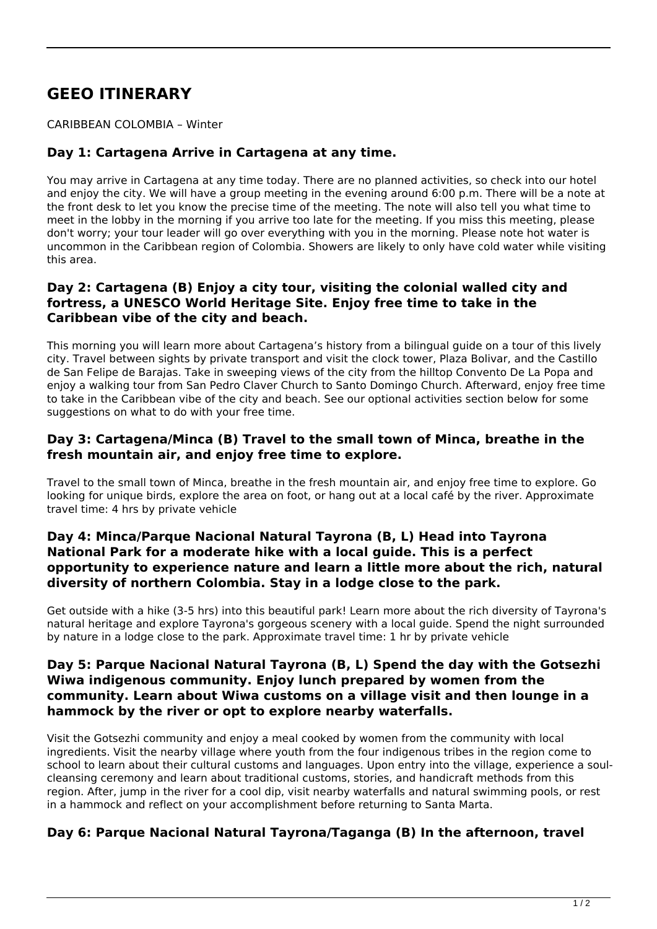# **GEEO ITINERARY**

#### CARIBBEAN COLOMBIA – Winter

# **Day 1: Cartagena Arrive in Cartagena at any time.**

You may arrive in Cartagena at any time today. There are no planned activities, so check into our hotel and enjoy the city. We will have a group meeting in the evening around 6:00 p.m. There will be a note at the front desk to let you know the precise time of the meeting. The note will also tell you what time to meet in the lobby in the morning if you arrive too late for the meeting. If you miss this meeting, please don't worry; your tour leader will go over everything with you in the morning. Please note hot water is uncommon in the Caribbean region of Colombia. Showers are likely to only have cold water while visiting this area.

## **Day 2: Cartagena (B) Enjoy a city tour, visiting the colonial walled city and fortress, a UNESCO World Heritage Site. Enjoy free time to take in the Caribbean vibe of the city and beach.**

This morning you will learn more about Cartagena's history from a bilingual guide on a tour of this lively city. Travel between sights by private transport and visit the clock tower, Plaza Bolivar, and the Castillo de San Felipe de Barajas. Take in sweeping views of the city from the hilltop Convento De La Popa and enjoy a walking tour from San Pedro Claver Church to Santo Domingo Church. Afterward, enjoy free time to take in the Caribbean vibe of the city and beach. See our optional activities section below for some suggestions on what to do with your free time.

## **Day 3: Cartagena/Minca (B) Travel to the small town of Minca, breathe in the fresh mountain air, and enjoy free time to explore.**

Travel to the small town of Minca, breathe in the fresh mountain air, and enjoy free time to explore. Go looking for unique birds, explore the area on foot, or hang out at a local café by the river. Approximate travel time: 4 hrs by private vehicle

## **Day 4: Minca/Parque Nacional Natural Tayrona (B, L) Head into Tayrona National Park for a moderate hike with a local guide. This is a perfect opportunity to experience nature and learn a little more about the rich, natural diversity of northern Colombia. Stay in a lodge close to the park.**

Get outside with a hike (3-5 hrs) into this beautiful park! Learn more about the rich diversity of Tayrona's natural heritage and explore Tayrona's gorgeous scenery with a local guide. Spend the night surrounded by nature in a lodge close to the park. Approximate travel time: 1 hr by private vehicle

#### **Day 5: Parque Nacional Natural Tayrona (B, L) Spend the day with the Gotsezhi Wiwa indigenous community. Enjoy lunch prepared by women from the community. Learn about Wiwa customs on a village visit and then lounge in a hammock by the river or opt to explore nearby waterfalls.**

Visit the Gotsezhi community and enjoy a meal cooked by women from the community with local ingredients. Visit the nearby village where youth from the four indigenous tribes in the region come to school to learn about their cultural customs and languages. Upon entry into the village, experience a soulcleansing ceremony and learn about traditional customs, stories, and handicraft methods from this region. After, jump in the river for a cool dip, visit nearby waterfalls and natural swimming pools, or rest in a hammock and reflect on your accomplishment before returning to Santa Marta.

## **Day 6: Parque Nacional Natural Tayrona/Taganga (B) In the afternoon, travel**